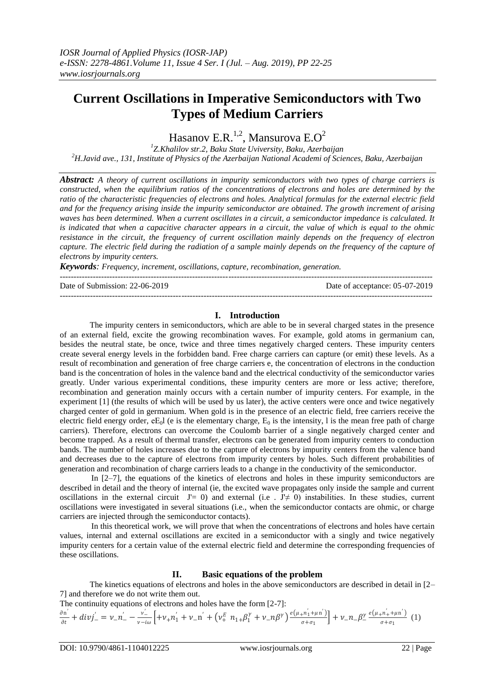# **Current Oscillations in Imperative Semiconductors with Two Types of Medium Carriers**

Hasanov E.R. $^{1,2}$ , Mansurova E.O<sup>2</sup>

*1 Z.Khalilov str.2, Baku State Uviversity, Baku, Azerbaijan <sup>2</sup>H.Javid ave., 131, Institute of Physics of the Azerbaijan National Academi of Sciences, Baku, Azerbaijan*

*Abstract: A theory of current oscillations in impurity semiconductors with two types of charge carriers is constructed, when the equilibrium ratios of the concentrations of electrons and holes are determined by the ratio of the characteristic frequencies of electrons and holes. Analytical formulas for the external electric field and for the frequency arising inside the impurity semiconductor are obtained. The growth increment of arising waves has been determined. When a current oscillates in a circuit, a semiconductor impedance is calculated. It is indicated that when a capacitive character appears in a circuit, the value of which is equal to the ohmic resistance in the circuit, the frequency of current oscillation mainly depends on the frequency of electron capture. The electric field during the radiation of a sample mainly depends on the frequency of the capture of electrons by impurity centers.*

*Keywords: Frequency, increment, oscillations, capture, recombination, generation.* ---------------------------------------------------------------------------------------------------------------------------------------

Date of Submission: 22-06-2019 Date of acceptance: 05-07-2019 ---------------------------------------------------------------------------------------------------------------------------------------

## **I. Introduction**

The impurity centers in semiconductors, which are able to be in several charged states in the presence of an external field, excite the growing recombination waves. For example, gold atoms in germanium can, besides the neutral state, be once, twice and three times negatively charged centers. These impurity centers create several energy levels in the forbidden band. Free charge carriers can capture (or emit) these levels. As a result of recombination and generation of free charge carriers e, the concentration of electrons in the conduction band is the concentration of holes in the valence band and the electrical conductivity of the semiconductor varies greatly. Under various experimental conditions, these impurity centers are more or less active; therefore, recombination and generation mainly occurs with a certain number of impurity centers. For example, in the experiment [1] (the results of which will be used by us later), the active centers were once and twice negatively charged center of gold in germanium. When gold is in the presence of an electric field, free carriers receive the electric field energy order,  $eE_0$ l (e is the elementary charge,  $E_0$  is the intensity, l is the mean free path of charge carriers). Therefore, electrons can overcome the Coulomb barrier of a single negatively charged center and become trapped. As a result of thermal transfer, electrons can be generated from impurity centers to conduction bands. The number of holes increases due to the capture of electrons by impurity centers from the valence band and decreases due to the capture of electrons from impurity centers by holes. Such different probabilities of generation and recombination of charge carriers leads to a change in the conductivity of the semiconductor.

In [2–7], the equations of the kinetics of electrons and holes in these impurity semiconductors are described in detail and the theory of internal (ie, the excited wave propagates only inside the sample and current oscillations in the external circuit  $J' = 0$ ) and external (i.e.  $J' \neq 0$ ) instabilities. In these studies, current oscillations were investigated in several situations (i.e., when the semiconductor contacts are ohmic, or charge carriers are injected through the semiconductor contacts).

In this theoretical work, we will prove that when the concentrations of electrons and holes have certain values, internal and external oscillations are excited in a semiconductor with a singly and twice negatively impurity centers for a certain value of the external electric field and determine the corresponding frequencies of these oscillations.

## **II. Basic equations of the problem**

The kinetics equations of electrons and holes in the above semiconductors are described in detail in [2– 7] and therefore we do not write them out.

The continuity equations of electrons and holes have the form [2-7]:

$$
\frac{\partial n^{'}}{\partial t} + div j^{'}_{-} = \nu_{-} n^{'}_{-} - \frac{\nu^{'}_{-}}{\nu - i\omega} \Big[ + \nu_{+} n^{'}_{1} + \nu_{-} n^{'} + (\nu_{+}^{E} n_{1+} \beta_{1}^{Y} + \nu_{-} n \beta^{Y}) \frac{e(\mu_{+} n^{'}_{1} + \mu n^{'})}{\sigma + \sigma_{1}} \Big] + \nu_{-} n_{-} \beta_{-}^{Y} \frac{e(\mu_{+} n^{'}_{1} + \mu n^{'})}{\sigma + \sigma_{1}} (1)
$$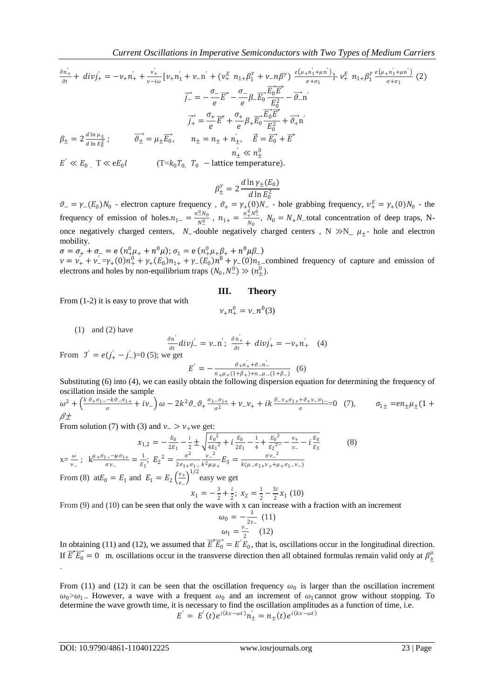$$
\frac{\partial n_{+}^{'} }{\partial t} + div j_{+}^{'} = -\nu_{+} n_{+}^{'} + \frac{\nu_{+}^{'} }{\nu - i\omega} [\nu_{+} n_{1}^{'} + \nu_{-} n^{'} + (\nu_{+}^{E} n_{1+} \beta_{1}^{Y} + \nu_{-} n \beta^{Y}) \frac{e(\mu_{+} n_{1}^{'} + \mu_{1} n^{'})}{\sigma + \sigma_{1}}] - \nu_{+}^{E} n_{1+} \beta_{1}^{Y} \frac{e(\mu_{+} n_{1}^{'} + \mu_{1} n^{'})}{\sigma + \sigma_{1}} (2)
$$
\n
$$
\vec{j}_{-}^{'} = -\frac{\sigma_{-}}{e} \vec{E}^{*} - \frac{\sigma_{-}}{e} \beta_{-} \vec{E}_{0} \frac{\vec{E}_{0} \vec{E}^{*}}{E_{0}^{2}} - \vec{\partial}_{-} n^{'}
$$
\n
$$
\vec{j}_{+}^{'} = \frac{\sigma_{+}}{e} \vec{E}^{*} + \frac{\sigma_{+}}{e} \beta_{+} \vec{E}_{0} \frac{\vec{E}_{0} \vec{E}^{*}}{E_{0}^{2}} + \vec{\partial}_{+} n^{'}
$$
\n
$$
\beta_{\pm} = 2 \frac{d \ln \mu_{\pm}}{d \ln E_{0}^{2}}; \qquad \vec{\theta_{\pm}} = \mu_{\pm} \vec{E}_{0}, \qquad n_{\pm} = n_{\pm} + n_{\pm}^{'} , \quad \vec{E} = \vec{E}_{0} + \vec{E}^{*}
$$
\n
$$
n_{\pm}^{'} \ll n_{\pm}^{0}
$$
\n
$$
E^{'} \ll E_{0} , T \ll eE_{0}l \qquad (T = k_{0}T_{0} , T_{0} - lattice temperature).
$$

$$
\beta_{\pm}^{\gamma} = 2 \frac{d \ln \gamma_{\pm}(E_0)}{d \ln E_0^2}
$$

 $\vartheta = \gamma_-(E_0)N_0$  - electron capture frequency,  $\vartheta_+ = \gamma_+(0)N_-$  - hole grabbing frequency,  $v_+^E = \gamma_+(0)N_0$  - the frequency of emission of holes. $n_{1-} = \frac{n_{0}^{0}N_{0}}{N^{0}}$  $\frac{0.0}{N_{-}^{0}}$  ,  $n_{1+} = \frac{n_{+}^{0}N_{-}^{0}}{N_{0}}$  $\frac{1}{N_0}$ ,  $N_0 = N_+N_-$ total concentration of deep traps, Nonce negatively charged centers,  $N_-$ -double negatively charged centers ,  $N \gg N_- \mu_+$ - hole and electron mobility.

$$
\sigma = \sigma_+ + \sigma_- = e (n_+^0 \mu_+ + n^0 \mu); \sigma_1 = e (n_+^0 \mu_+ \beta_+ + n^0 \mu \beta_-)
$$
  

$$
\nu = \nu_+ + \nu_-^{\prime} = \gamma_+ (0) n_+^0 + \gamma_+ (E_0) n_1 + \gamma_- (E_0) n^0 + \gamma_- (0) n_1 \text{ - combined free}
$$

equency of capture and emission of electrons and holes by non-equilibrium traps  $(N_0, N_-^0) \gg (n_{\pm}^0)$ .

#### **III. Theory**

From (1-2) it is easy to prove that with

$$
\nu_{+}n_{+}^{0}=\nu_{-}n^{0}(3)
$$

 $(1)$  and  $(2)$  have

From 
$$
\mathcal{I}' = e(j'_{+} - j'_{-}) = 0
$$
 (5); we get  
\n
$$
E' = -\frac{\partial^{n'} \mathcal{I}}{\partial t} + \frac{\partial^{n'} \mathcal{I}}{\partial t} + \frac{\partial^{n'} \mathcal{I}}{\partial t} + \frac{\partial^{n'} \mathcal{I}}{\partial t} = -\nu_{+} n'_{+} \quad (4)
$$
\n
$$
E' = -\frac{\partial^{n'} \mathcal{I}}{\partial t} + \frac{\partial^{n'} \mathcal{I}}{\partial t} + \frac{\partial^{n'} \mathcal{I}}{\partial t} = -\frac{\partial^{n'} \mathcal{I}}{\partial t} + \frac{\partial^{n'} \mathcal{I}}{\partial t} + \frac{\partial^{n'} \mathcal{I}}{\partial t} = -\frac{\partial^{n'} \mathcal{I}}{\partial t} + \frac{\partial^{n'} \mathcal{I}}{\partial t} = -\frac{\partial^{n'} \mathcal{I}}{\partial t} + \frac{\partial^{n'} \mathcal{I}}{\partial t} = -\frac{\partial^{n'} \mathcal{I}}{\partial t} + \frac{\partial^{n'} \mathcal{I}}{\partial t} = -\frac{\partial^{n'} \mathcal{I}}{\partial t} + \frac{\partial^{n'} \mathcal{I}}{\partial t} = -\frac{\partial^{n'} \mathcal{I}}{\partial t} + \frac{\partial^{n'} \mathcal{I}}{\partial t} = -\frac{\partial^{n'} \mathcal{I}}{\partial t} + \frac{\partial^{n'} \mathcal{I}}{\partial t} = -\frac{\partial^{n'} \mathcal{I}}{\partial t} + \frac{\partial^{n'} \mathcal{I}}{\partial t} = -\frac{\partial^{n'} \mathcal{I}}{\partial t} + \frac{\partial^{n'} \mathcal{I}}{\partial t} = -\frac{\partial^{n'} \mathcal{I}}{\partial t} + \frac{\partial^{n'} \mathcal{I}}{\partial t} = -\frac{\partial^{n'} \mathcal{I}}{\partial t} + \frac{\partial^{n'} \mathcal{I}}{\partial t} = -\frac{\partial^{n'} \mathcal{I}}{\partial t} + \frac{\partial^{n'} \mathcal{I}}{\partial t} = -\frac{\partial^{n'} \mathcal{I}}{\partial t} + \frac{\partial^{n'} \mathcal{I}}{\partial t} = -\frac{\partial^{n'} \mathcal{I}}{\partial t} + \frac{\partial^{n'} \mathcal{I}}{\partial t} = -\frac{\partial^{n'} \mathcal{I}}{\partial t} + \frac{\partial^{n'} \math
$$

Substituting (6) into (4), we can easily obtain the following dispersion equation for determining the frequency of oscillation inside the sample

$$
\omega^2 + \left(\frac{k \vartheta_+ \sigma_1 - k \vartheta_- \sigma_1}{\sigma} + i\nu_-\right)\omega - 2k^2 \vartheta_-\vartheta_+ \frac{\sigma_1_-\sigma_1_+}{\sigma^2} + \nu_-\nu_+ + ik \frac{\vartheta_-\nu_+ \sigma_1 + k \vartheta_+\nu_-\sigma_1_-}{\sigma} = 0 \quad (7), \qquad \sigma_{1\pm} = e n_\pm \mu_\pm (1 + \vartheta_-\nu_\pm + k \vartheta_-)\mu_\pm \frac{\vartheta_-\nu_+\sigma_1 + k \vartheta_+\nu_-\sigma_1}{\sigma^2} = 0 \quad (8)
$$

From solution (7) with (3) and  $\nu$  >  $\nu$ <sub>+</sub>we get:

$$
x_{1,2} = -\frac{E_0}{2E_1} - \frac{i}{2} \pm \sqrt{\frac{E_0^2}{4E_1^2} + i\frac{E_0}{2E_1} - \frac{1}{4} + \frac{E_0^2}{E_2^2} - \frac{v_+}{v_-} - i\frac{E_0}{E_3}}
$$
(8)  
\n
$$
x = \frac{\omega}{v_-}; \quad k^{\frac{\mu + \sigma_1 - \mu \sigma_1}{\sigma v_-}} = \frac{1}{E_1}; \quad E_2^2 = \frac{\sigma^2}{2\sigma_1 + \sigma_1 - k^2 \mu + E_3} = \frac{\sigma v_-^2}{k(\mu - \sigma_1 + v_+ + \mu + \sigma_1 - v_-)}
$$
  
\nFrom (8)  $atE_0 = E_1$  and  $E_1 = E_2 \left(\frac{v_+}{v_-}\right)^{1/2}$  easy we get  
\n
$$
x_1 = -\frac{3}{2} + \frac{i}{2}; \quad x_2 = \frac{1}{2} - \frac{3i}{2}x_1
$$
(10)

From (9) and (10) can be seen that only the wave with x can increase with a fraction with an increment

$$
\omega_0 = -\frac{3}{2\nu_{-}} (11)
$$
  

$$
\omega_1 = \frac{\nu_{-}}{2} (12)
$$

In obtaining (11) and (12), we assumed that  $\overrightarrow{E} + \overrightarrow{E_0} = E' E_0$ , that is, oscillations occur in the longitudinal direction. If  $\overrightarrow{E}^* \overrightarrow{E_0} = 0$  m. oscillations occur in the transverse direction then all obtained formulas remain valid only at  $\beta_{\pm}^{\mu}$ .

From (11) and (12) it can be seen that the oscillation frequency  $\omega_0$  is larger than the oscillation increment  $\omega_0 > \omega_1$ . However, a wave with a frequent  $\omega_0$  and an increment of  $\omega_1$ cannot grow without stopping. To determine the wave growth time, it is necessary to find the oscillation amplitudes as a function of time, i.e.  $E' = E'(t)e^{i(kx - \omega t)}n'_{\pm} = n_{\pm}(t)e^{i(kx - \omega t)}$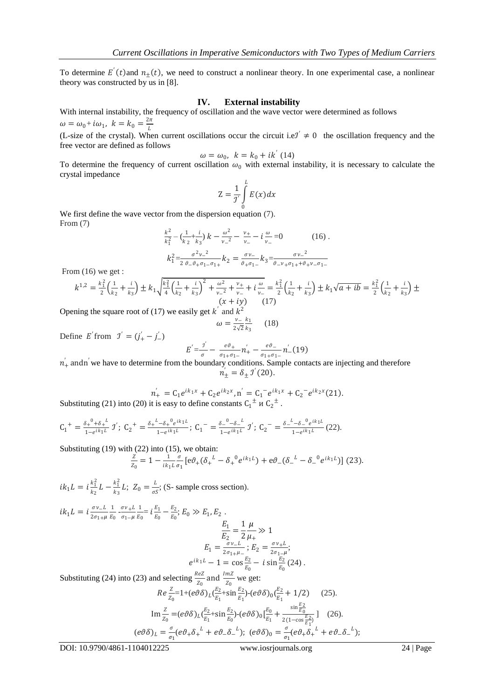To determine  $E'(t)$  and  $n_{\pm}(t)$ , we need to construct a nonlinear theory. In one experimental case, a nonlinear theory was constructed by us in  $[8]$ .

#### **IV. External instability**

With internal instability, the frequency of oscillation and the wave vector were determined as follows  $\omega = \omega_0 + i \omega_1, \ k = k_0 = \frac{2\pi}{l}$ L

(L-size of the crystal). When current oscillations occur the circuit i.e $\mathcal{I}' \neq 0$  the oscillation frequency and the free vector are defined as follows

$$
\omega = \omega_0, \ \ k = k_0 + ik' \ (14)
$$

To determine the frequency of current oscillation  $\omega_0$  with external instability, it is necessary to calculate the crystal impedance

$$
Z = \frac{1}{j'} \int_{0}^{L} E(x) dx
$$

We first define the wave vector from the dispersion equation  $(7)$ . From (7)

$$
\frac{k^2}{k_1^2} - \left(\frac{1}{k_2} + \frac{i}{k_3}\right)k - \frac{\omega^2}{\nu - 2} - \frac{\nu_+}{\nu_-} - i\frac{\omega}{\nu_-} = 0 \qquad (16).
$$
  

$$
k_1^2 = \frac{\sigma^2 \nu_-^2}{2 \sigma_- \sigma_+ \sigma_1 - \sigma_1_+} k_2 = \frac{\sigma \nu_-}{\sigma_+ \sigma_1_-} k_3 = \frac{\sigma \nu_-^2}{\sigma_- \nu_+ \sigma_1_+ + \sigma_+ \nu_- \sigma_1_-}
$$

From  $(16)$  we get :

$$
k^{1,2} = \frac{k_1^2}{2} \left( \frac{1}{k_2} + \frac{i}{k_3} \right) \pm k_1 \sqrt{\frac{k_1^2}{4} \left( \frac{1}{k_2} + \frac{i}{k_3} \right)^2 + \frac{\omega^2}{\nu - 2} + \frac{\nu_+}{\nu - 2} + i \frac{\omega}{\nu - 2}} = \frac{k_1^2}{2} \left( \frac{1}{k_2} + \frac{i}{k_3} \right) \pm k_1 \sqrt{a + ib} = \frac{k_1^2}{2} \left( \frac{1}{k_2} + \frac{i}{k_3} \right) \pm k_2 \sqrt{a + ib} = \frac{k_1^2}{2} \left( \frac{1}{k_2} + \frac{i}{k_3} \right) \pm k_3 \sqrt{a + ib} = \frac{k_1^2}{2} \left( \frac{1}{k_2} + \frac{i}{k_3} \right) \pm k_1 \sqrt{a + ib} = \frac{k_1^2}{2} \left( \frac{1}{k_2} + \frac{i}{k_3} \right) \pm k_1 \sqrt{a + ib} = \frac{k_1^2}{2} \left( \frac{1}{k_2} + \frac{i}{k_3} \right) \pm k_1 \sqrt{a + ib} = \frac{k_1^2}{2} \left( \frac{1}{k_2} + \frac{i}{k_3} \right) \pm k_1 \sqrt{a + ib} = \frac{k_1^2}{2} \left( \frac{1}{k_2} + \frac{i}{k_3} \right) \pm k_1 \sqrt{a + ib} = \frac{k_1^2}{2} \left( \frac{1}{k_2} + \frac{i}{k_3} \right) \pm k_1 \sqrt{a + ib} = \frac{k_1^2}{2} \left( \frac{1}{k_2} + \frac{i}{k_3} \right) \pm k_1 \sqrt{a + ib} = \frac{k_1^2}{2} \left( \frac{1}{k_2} + \frac{i}{k_3} \right) \pm k_1 \sqrt{a + ib} = \frac{k_1^2}{2} \left( \frac{1}{k_2} + \frac{i}{k_3} \right) \pm k_1 \sqrt{a + ib} = \frac{k_1^2}{2} \left( \frac{1}{k_2} + \frac{i}{k_3} \right) \pm k_1 \sqrt{a + ib} = \frac{k_1^2}{2} \left( \frac{1}{k_2} +
$$

Opening the square root of (17) we easily get  $k'$  and  $k^2$ 

$$
\omega = \frac{\nu_-}{2\sqrt{2}} \frac{k_1}{k_3} \qquad (18)
$$

Define E'from  $j' = (j'_{+} - j'_{-})$ 

$$
E' = \frac{3'}{\sigma} - \frac{e\vartheta_{+}}{\sigma_{1+}\sigma_{1-}} n'_{+} - \frac{e\vartheta_{-}}{\sigma_{1+}\sigma_{1-}} n'_{-}(19)
$$

 $n'_+$  andn' we have to determine from the boundary conditions. Sample contacts are injecting and therefore  $n^{'}_{\pm} = \delta_{\pm} \, \mathcal{I}'(20).$ 

$$
n'_{+} = C_1 e^{ik_1 x} + C_2 e^{ik_2 x}, n' = C_1^- e^{ik_1 x} + C_2^- e^{ik_2 x} (21).
$$
  
It is easy to define constants  $C_1 \pm u C_2 \pm$ 

Substituting (21) into (20) it is easy to define constants  $C_1^{\pm}$   $\mu$   $C_2^{\pm}$ .

$$
C_1^+ = \frac{\delta_+^0 + \delta_+^{\ l}}{1 - e^{ik_1 L}} \, \mathcal{I}'; \ C_2^+ = \frac{\delta_+^{\ l} - \delta_+^{\ l} e^{ik_1 L}}{1 - e^{ik_1 L}}; \ C_1^- = \frac{\delta_-^0 - \delta_-^{\ l}}{1 - e^{ik_1 L}} \, \mathcal{I}'; \ C_2^- = \frac{\delta_-^{\ l} - \delta_-^{\ l} e^{ik_1 L}}{1 - e^{ik_1 L}} \, (22).
$$

Substituting  $(19)$  with  $(22)$  into  $(15)$ , we obtain:

$$
\frac{z}{z_0} = 1 - \frac{1}{ik_1 L} \frac{\sigma}{\sigma_1} \left[ e \vartheta_+ (\delta_+^L - \delta_+^0 e^{ik_1 L}) + e \vartheta_- (\delta_-^L - \delta_-^0 e^{ik_1 L}) \right] (23).
$$

 $i k_1 L = i \frac{k_1^2}{k_2}$  $\frac{k_1^2}{k_2}L - \frac{k_1^2}{k_3}$  $rac{k_1}{k_3}L; Z_0 = \frac{L}{\sigma s}$  $\frac{L}{\sigma S}$ ; (S- sample cross section).

$$
ik_1 L = i \frac{\sigma v_{-L}}{2\sigma_{1+H}} \frac{1}{E_0} - \frac{\sigma v_{+L}}{E_0} \frac{1}{E_0} = i \frac{E_1}{E_0} - \frac{E_2}{E_0}; E_0 \gg E_1, E_2
$$
  

$$
\frac{E_1}{E_2} = \frac{1}{2} \frac{\mu}{\mu_+} \gg 1
$$
  

$$
E_1 = \frac{\sigma v_{-L}}{2\sigma_{1+H-1}}; E_2 = \frac{\sigma v_{+L}}{2\sigma_{1-H}};
$$
  

$$
e^{ik_1 L} - 1 = \cos \frac{E_2}{E_0} - i \sin \frac{E_2}{E_0} (24)
$$
  
Substituting (24) into (23) and selecting  $\frac{ReZ}{Z_0}$  and  $\frac{ImZ}{Z_0}$  we get:

 $\frac{\pi}{z_0}$  and  $\frac{ImZ}{z_0}$  we<br> $\theta \delta$ )<sub>L</sub> $(\frac{E_2}{r} + \sin \frac{E_2}{r})$ 

$$
Re \frac{z}{z_0} = 1 + (e\vartheta \delta)_L (\frac{E_2}{E_1} + \sin \frac{E_2}{E_1}) - (e\vartheta \delta)_0 (\frac{E_2}{E_1} + 1/2)
$$
 (25).  
\n
$$
\text{Im} \frac{z}{z_0} = (e\vartheta \delta)_L (\frac{E_2}{E_1} + \sin \frac{E_2}{E_0}) - (e\vartheta \delta)_0 [\frac{E_0}{E_1} + \frac{\sin \frac{E_2}{E_0}}{2(1 - \cos \frac{E_2}{E_1})}]
$$
 (26).  
\n
$$
(e\vartheta \delta)_L = \frac{\sigma}{\sigma_1} (e\vartheta_+ \delta_+^L + e\vartheta_- \delta_-^L); \ (e\vartheta \delta)_0 = \frac{\sigma}{\sigma_1} (e\vartheta_+ \delta_+^L + e\vartheta_- \delta_-^L);
$$

DOI: 10.9790/4861-1104012225 www.iosrjournals.org 24 | Page